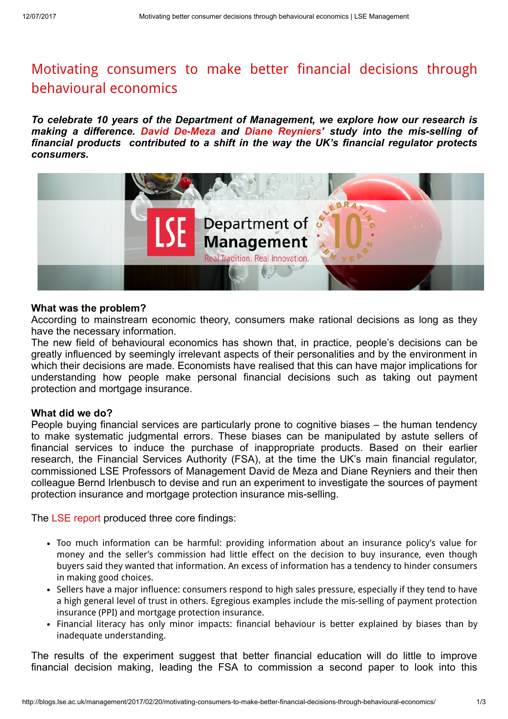# Motivating consumers to make better financial decisions through [behavioural](http://blogs.lse.ac.uk/management/2017/02/20/motivating-consumers-to-make-better-financial-decisions-through-behavioural-economics/) economics

To celebrate 10 years of the Department of Management, we explore how our research is making a difference. David [De-Meza](http://www.lse.ac.uk/management/people/dde-meza.aspx) and Diane [Reyniers](http://www.lse.ac.uk/management/people/dreyniers.aspx)' study into the mis-selling of financial products contributed to a shift in the way the UK's financial regulator protects consumers.



#### What was the problem?

According to mainstream economic theory, consumers make rational decisions as long as they have the necessary information.

The new field of behavioural economics has shown that, in practice, people's decisions can be greatly influenced by seemingly irrelevant aspects of their personalities and by the environment in which their decisions are made. Economists have realised that this can have major implications for understanding how people make personal financial decisions such as taking out payment protection and mortgage insurance.

### What did we do?

People buying financial services are particularly prone to cognitive biases – the human tendency to make systematic judgmental errors. These biases can be manipulated by astute sellers of financial services to induce the purchase of inappropriate products. Based on their earlier research, the Financial Services Authority (FSA), at the time the UK's main financial regulator, commissioned LSE Professors of Management David de Meza and Diane Reyniers and their then colleague Bernd Irlenbusch to devise and run an experiment to investigate the sources of payment protection insurance and mortgage protection insurance mis-selling.

The LSE [report](https://www.fca.org.uk/publication/research/fsa-crpr69.pdf) produced three core findings:

- Too much information can be harmful: providing information about an insurance policy's value for money and the seller's commission had little effect on the decision to buy insurance, even though buyers said they wanted that information. An excess of information has a tendency to hinder consumers in making good choices.
- Sellers have a major influence: consumers respond to high sales pressure, especially if they tend to have a high general level of trust in others. Egregious examples include the mis-selling of payment protection insurance (PPI) and mortgage protection insurance.
- Financial literacy has only minor impacts: financial behaviour is better explained by biases than by inadequate understanding.

The results of the experiment suggest that better financial education will do little to improve financial decision making, leading the FSA to commission a second paper to look into this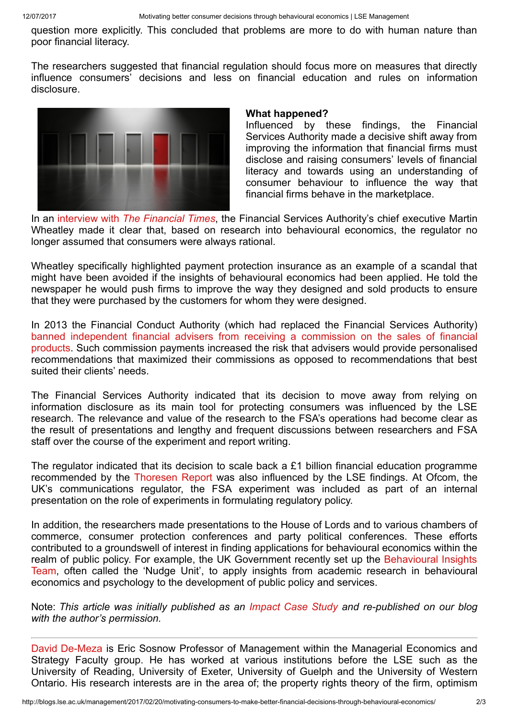question more explicitly. This concluded that problems are more to do with human nature than poor financial literacy.

The researchers suggested that financial regulation should focus more on measures that directly influence consumers' decisions and less on financial education and rules on information disclosure.



### What happened?

Influenced by these findings, the Financial Services Authority made a decisive shift away from improving the information that financial firms must disclose and raising consumers' levels of financial literacy and towards using an understanding of consumer behaviour to influence the way that financial firms behave in the marketplace.

In an interview with *The [Financial](https://www.ft.com/content/7a681cc2-4674-11e1-85e2-00144feabdc0) Times*, the Financial Services Authority's chief executive Martin Wheatley made it clear that, based on research into behavioural economics, the regulator no longer assumed that consumers were always rational.

Wheatley specifically highlighted payment protection insurance as an example of a scandal that might have been avoided if the insights of behavioural economics had been applied. He told the newspaper he would push firms to improve the way they designed and sold products to ensure that they were purchased by the customers for whom they were designed.

In 2013 the Financial Conduct Authority (which had replaced the Financial Services Authority) banned independent financial advisers from receiving a commission on the sales of financial products. Such commission payments increased the risk that advisers would provide [personalised](http://www.bbc.co.uk/news/business-20860803) recommendations that maximized their commissions as opposed to recommendations that best suited their clients' needs.

The Financial Services Authority indicated that its decision to move away from relying on information disclosure as its main tool for protecting consumers was influenced by the LSE research. The relevance and value of the research to the FSA's operations had become clear as the result of presentations and lengthy and frequent discussions between researchers and FSA staff over the course of the experiment and report writing.

The regulator indicated that its decision to scale back a £1 billion financial education programme recommended by the [Thoresen](http://webarchive.nationalarchives.gov.uk/+/http:/www.hm-treasury.gov.uk/media/8/3/thoresenreview_final.pdf) Report was also influenced by the LSE findings. At Ofcom, the UK's communications regulator, the FSA experiment was included as part of an internal presentation on the role of experiments in formulating regulatory policy.

In addition, the researchers made presentations to the House of Lords and to various chambers of commerce, consumer protection conferences and party political conferences. These efforts contributed to a groundswell of interest in finding applications for behavioural economics within the realm of public policy. For example, the UK [Government](http://www.behaviouralinsights.co.uk/) recently set up the Behavioural Insights Team, often called the 'Nudge Unit', to apply insights from academic research in behavioural economics and psychology to the development of public policy and services.

Note: This article was initially published as an [Impact](http://www.lse.ac.uk/researchAndExpertise/researchImpact/caseStudies/demeza-reyniers-consumer-decisions-behavioural-economics.aspx) Case Study and re-published on our blog with the author's permission.

David [De-Meza](http://www.lse.ac.uk/management/people/dde-meza.aspx) is Eric Sosnow Professor of Management within the Managerial Economics and Strategy Faculty group. He has worked at various institutions before the LSE such as the University of Reading, University of Exeter, University of Guelph and the University of Western Ontario. His research interests are in the area of; the property rights theory of the firm, optimism